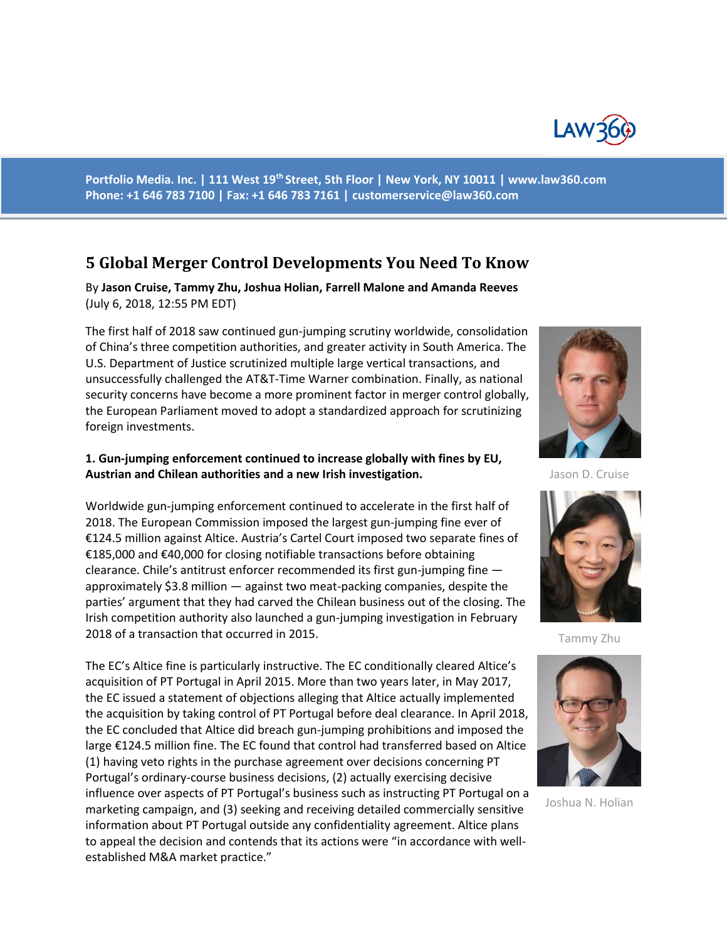

**Portfolio Media. Inc. | 111 West 19th Street, 5th Floor | New York, NY 10011 | www.law360.com Phone: +1 646 783 7100 | Fax: +1 646 783 7161 | customerservice@law360.com**

# **5 Global Merger Control Developments You Need To Know**

By **Jason Cruise, Tammy Zhu, Joshua Holian, Farrell Malone and Amanda Reeves** (July 6, 2018, 12:55 PM EDT)

The first half of 2018 saw continued gun-jumping scrutiny worldwide, consolidation of China's three competition authorities, and greater activity in South America. The U.S. Department of Justice scrutinized multiple large vertical transactions, and unsuccessfully challenged the AT&T-Time Warner combination. Finally, as national security concerns have become a more prominent factor in merger control globally, the European Parliament moved to adopt a standardized approach for scrutinizing foreign investments.

#### **1. Gun-jumping enforcement continued to increase globally with fines by EU, Austrian and Chilean authorities and a new Irish investigation.**

Worldwide gun-jumping enforcement continued to accelerate in the first half of 2018. The European Commission imposed the largest gun-jumping fine ever of €124.5 million against Altice. Austria's Cartel Court imposed two separate fines of €185,000 and €40,000 for closing notifiable transactions before obtaining clearance. Chile's antitrust enforcer recommended its first gun-jumping fine approximately \$3.8 million — against two meat-packing companies, despite the parties' argument that they had carved the Chilean business out of the closing. The Irish competition authority also launched a gun-jumping investigation in February 2018 of a transaction that occurred in 2015.

The EC's Altice fine is particularly instructive. The EC conditionally cleared Altice's acquisition of PT Portugal in April 2015. More than two years later, in May 2017, the EC issued a statement of objections alleging that Altice actually implemented the acquisition by taking control of PT Portugal before deal clearance. In April 2018, the EC concluded that Altice did breach gun-jumping prohibitions and imposed the large €124.5 million fine. The EC found that control had transferred based on Altice (1) having veto rights in the purchase agreement over decisions concerning PT Portugal's ordinary-course business decisions, (2) actually exercising decisive influence over aspects of PT Portugal's business such as instructing PT Portugal on a marketing campaign, and (3) seeking and receiving detailed commercially sensitive information about PT Portugal outside any confidentiality agreement. Altice plans to appeal the decision and contends that its actions were "in accordance with wellestablished M&A market practice."



Jason D. Cruise



Tammy Zhu



Joshua N. Holian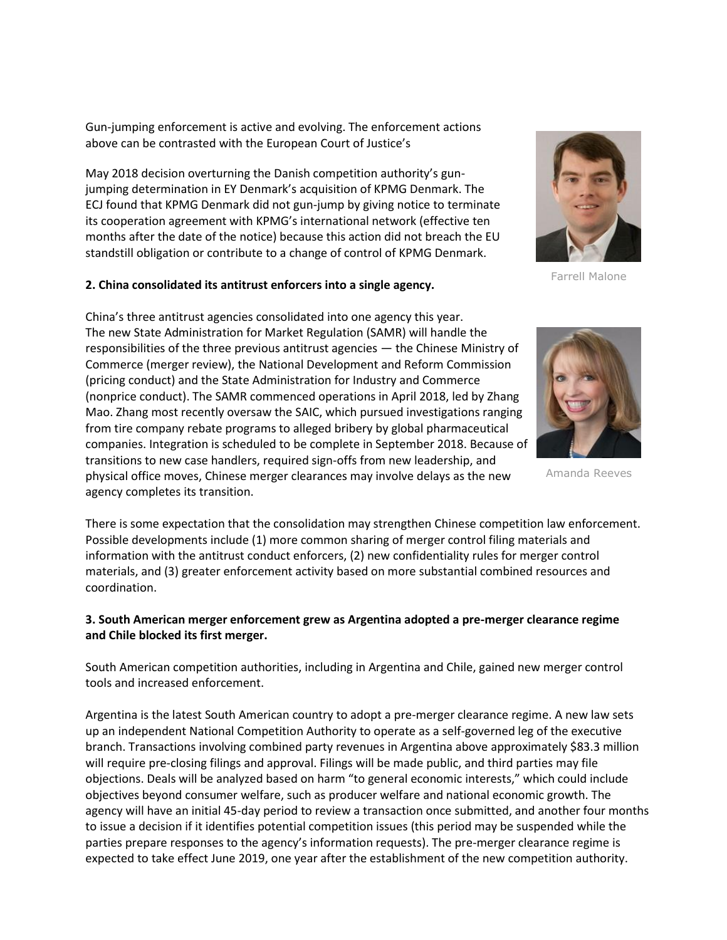Gun-jumping enforcement is active and evolving. The enforcement actions above can be contrasted with the European Court of Justice's

May 2018 decision overturning the Danish competition authority's gunjumping determination in EY Denmark's acquisition of KPMG Denmark. The ECJ found that KPMG Denmark did not gun-jump by giving notice to terminate its cooperation agreement with KPMG's international network (effective ten months after the date of the notice) because this action did not breach the EU standstill obligation or contribute to a change of control of KPMG Denmark.

#### **2. China consolidated its antitrust enforcers into a single agency.**

China's three antitrust agencies consolidated into one agency this year. The new State Administration for Market Regulation (SAMR) will handle the responsibilities of the three previous antitrust agencies — the Chinese Ministry of Commerce (merger review), the National Development and Reform Commission (pricing conduct) and the State Administration for Industry and Commerce (nonprice conduct). The SAMR commenced operations in April 2018, led by Zhang Mao. Zhang most recently oversaw the SAIC, which pursued investigations ranging from tire company rebate programs to alleged bribery by global pharmaceutical companies. Integration is scheduled to be complete in September 2018. Because of transitions to new case handlers, required sign-offs from new leadership, and physical office moves, Chinese merger clearances may involve delays as the new agency completes its transition.

There is some expectation that the consolidation may strengthen Chinese competition law enforcement. Possible developments include (1) more common sharing of merger control filing materials and information with the antitrust conduct enforcers, (2) new confidentiality rules for merger control materials, and (3) greater enforcement activity based on more substantial combined resources and coordination.

# **3. South American merger enforcement grew as Argentina adopted a pre-merger clearance regime and Chile blocked its first merger.**

South American competition authorities, including in Argentina and Chile, gained new merger control tools and increased enforcement.

Argentina is the latest South American country to adopt a pre-merger clearance regime. A new law sets up an independent National Competition Authority to operate as a self-governed leg of the executive branch. Transactions involving combined party revenues in Argentina above approximately \$83.3 million will require pre-closing filings and approval. Filings will be made public, and third parties may file objections. Deals will be analyzed based on harm "to general economic interests," which could include objectives beyond consumer welfare, such as producer welfare and national economic growth. The agency will have an initial 45-day period to review a transaction once submitted, and another four months to issue a decision if it identifies potential competition issues (this period may be suspended while the parties prepare responses to the agency's information requests). The pre-merger clearance regime is expected to take effect June 2019, one year after the establishment of the new competition authority.



Farrell Malone



Amanda Reeves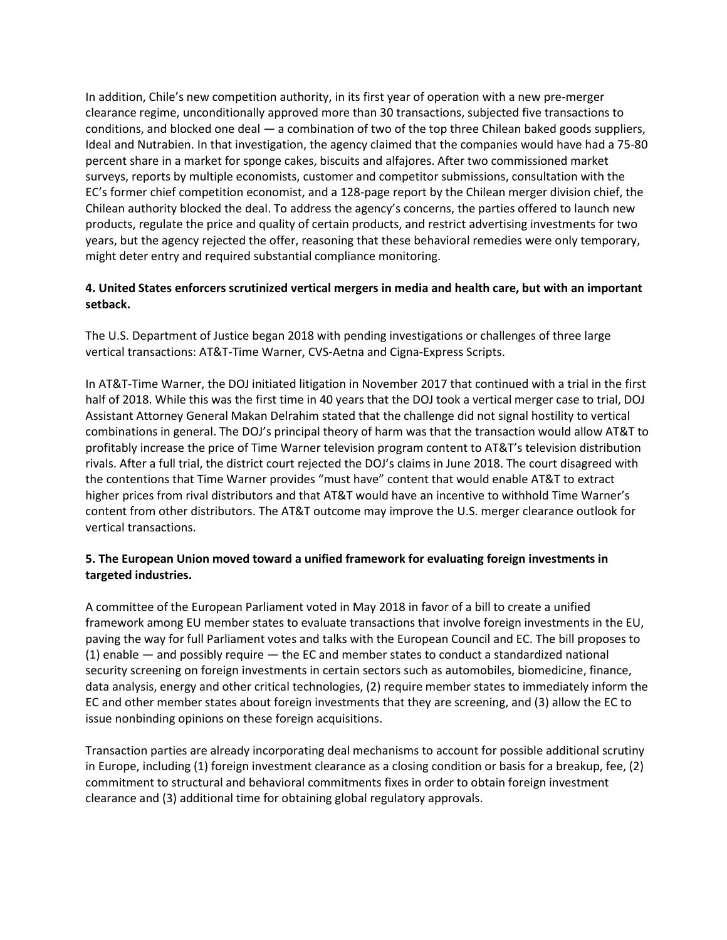In addition, Chile's new competition authority, in its first year of operation with a new pre-merger clearance regime, unconditionally approved more than 30 transactions, subjected five transactions to conditions, and blocked one deal — a combination of two of the top three Chilean baked goods suppliers, Ideal and Nutrabien. In that investigation, the agency claimed that the companies would have had a 75-80 percent share in a market for sponge cakes, biscuits and alfajores. After two commissioned market surveys, reports by multiple economists, customer and competitor submissions, consultation with the EC's former chief competition economist, and a 128-page report by the Chilean merger division chief, the Chilean authority blocked the deal. To address the agency's concerns, the parties offered to launch new products, regulate the price and quality of certain products, and restrict advertising investments for two years, but the agency rejected the offer, reasoning that these behavioral remedies were only temporary, might deter entry and required substantial compliance monitoring.

# **4. United States enforcers scrutinized vertical mergers in media and health care, but with an important setback.**

The U.S. Department of Justice began 2018 with pending investigations or challenges of three large vertical transactions: AT&T-Time Warner, CVS-Aetna and Cigna-Express Scripts.

In AT&T-Time Warner, the DOJ initiated litigation in November 2017 that continued with a trial in the first half of 2018. While this was the first time in 40 years that the DOJ took a vertical merger case to trial, DOJ Assistant Attorney General Makan Delrahim stated that the challenge did not signal hostility to vertical combinations in general. The DOJ's principal theory of harm was that the transaction would allow AT&T to profitably increase the price of Time Warner television program content to AT&T's television distribution rivals. After a full trial, the district court rejected the DOJ's claims in June 2018. The court disagreed with the contentions that Time Warner provides "must have" content that would enable AT&T to extract higher prices from rival distributors and that AT&T would have an incentive to withhold Time Warner's content from other distributors. The AT&T outcome may improve the U.S. merger clearance outlook for vertical transactions.

# **5. The European Union moved toward a unified framework for evaluating foreign investments in targeted industries.**

A committee of the European Parliament voted in May 2018 in favor of a bill to create a unified framework among EU member states to evaluate transactions that involve foreign investments in the EU, paving the way for full Parliament votes and talks with the European Council and EC. The bill proposes to (1) enable — and possibly require — the EC and member states to conduct a standardized national security screening on foreign investments in certain sectors such as automobiles, biomedicine, finance, data analysis, energy and other critical technologies, (2) require member states to immediately inform the EC and other member states about foreign investments that they are screening, and (3) allow the EC to issue nonbinding opinions on these foreign acquisitions.

Transaction parties are already incorporating deal mechanisms to account for possible additional scrutiny in Europe, including (1) foreign investment clearance as a closing condition or basis for a breakup, fee, (2) commitment to structural and behavioral commitments fixes in order to obtain foreign investment clearance and (3) additional time for obtaining global regulatory approvals.